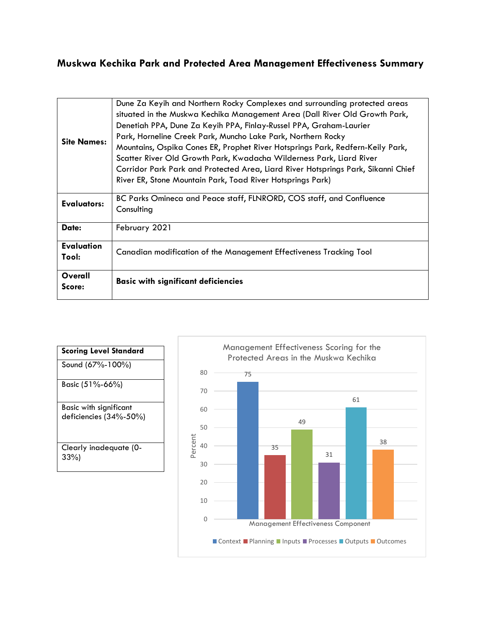## **Muskwa Kechika Park and Protected Area Management Effectiveness Summary**

| <b>Site Names:</b>         | Dune Za Keyih and Northern Rocky Complexes and surrounding protected areas<br>situated in the Muskwa Kechika Management Area (Dall River Old Growth Park,<br>Denetiah PPA, Dune Za Keyih PPA, Finlay-Russel PPA, Graham-Laurier<br>Park, Horneline Creek Park, Muncho Lake Park, Northern Rocky<br>Mountains, Ospika Cones ER, Prophet River Hotsprings Park, Redfern-Keily Park,<br>Scatter River Old Growth Park, Kwadacha Wilderness Park, Liard River<br>Corridor Park Park and Protected Area, Liard River Hotsprings Park, Sikanni Chief<br>River ER, Stone Mountain Park, Toad River Hotsprings Park) |  |  |  |  |
|----------------------------|--------------------------------------------------------------------------------------------------------------------------------------------------------------------------------------------------------------------------------------------------------------------------------------------------------------------------------------------------------------------------------------------------------------------------------------------------------------------------------------------------------------------------------------------------------------------------------------------------------------|--|--|--|--|
| Evaluators:                | BC Parks Omineca and Peace staff, FLNRORD, COS staff, and Confluence<br>Consulting                                                                                                                                                                                                                                                                                                                                                                                                                                                                                                                           |  |  |  |  |
| Date:                      | February 2021                                                                                                                                                                                                                                                                                                                                                                                                                                                                                                                                                                                                |  |  |  |  |
| <b>Evaluation</b><br>Tool: | Canadian modification of the Management Effectiveness Tracking Tool                                                                                                                                                                                                                                                                                                                                                                                                                                                                                                                                          |  |  |  |  |
| Overall<br>Score:          | <b>Basic with significant deficiencies</b>                                                                                                                                                                                                                                                                                                                                                                                                                                                                                                                                                                   |  |  |  |  |

**Scoring Level Standard** Sound (67%-100%) Basic (51%-66%) Basic with significant deficiencies (34%-50%) Clearly inadequate (0- 33%)

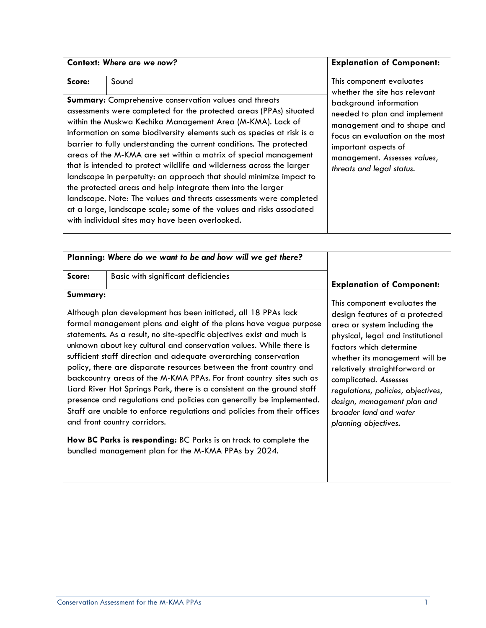|        | Context: Where are we now?                                                                                                                                                                                                                                                                                                                                                                                                                                                                                                                                                                                                                                                                                                                                                                                                                | <b>Explanation of Component:</b>                                                                                                                                                                                                                                           |
|--------|-------------------------------------------------------------------------------------------------------------------------------------------------------------------------------------------------------------------------------------------------------------------------------------------------------------------------------------------------------------------------------------------------------------------------------------------------------------------------------------------------------------------------------------------------------------------------------------------------------------------------------------------------------------------------------------------------------------------------------------------------------------------------------------------------------------------------------------------|----------------------------------------------------------------------------------------------------------------------------------------------------------------------------------------------------------------------------------------------------------------------------|
| Score: | Sound<br>Summary: Comprehensive conservation values and threats<br>assessments were completed for the protected areas (PPAs) situated<br>within the Muskwa Kechika Management Area (M-KMA). Lack of<br>information on some biodiversity elements such as species at risk is a<br>barrier to fully understanding the current conditions. The protected<br>areas of the M-KMA are set within a matrix of special management<br>that is intended to protect wildlife and wilderness across the larger<br>landscape in perpetuity: an approach that should minimize impact to<br>the protected areas and help integrate them into the larger<br>landscape. Note: The values and threats assessments were completed<br>at a large, landscape scale; some of the values and risks associated<br>with individual sites may have been overlooked. | This component evaluates<br>whether the site has relevant<br>background information<br>needed to plan and implement<br>management and to shape and<br>focus an evaluation on the most<br>important aspects of<br>management. Assesses values,<br>threats and legal status. |

|                                                                                                                                              | Planning: Where do we want to be and how will we get there?                                                                             |                                                                 |
|----------------------------------------------------------------------------------------------------------------------------------------------|-----------------------------------------------------------------------------------------------------------------------------------------|-----------------------------------------------------------------|
| Score:                                                                                                                                       | Basic with significant deficiencies                                                                                                     | <b>Explanation of Component:</b>                                |
| Summary:                                                                                                                                     |                                                                                                                                         | This component evaluates the                                    |
| Although plan development has been initiated, all 18 PPAs lack<br>formal management plans and eight of the plans have vague purpose          |                                                                                                                                         | design features of a protected<br>area or system including the  |
| statements. As a result, no site-specific objectives exist and much is<br>unknown about key cultural and conservation values. While there is |                                                                                                                                         | physical, legal and institutional<br>factors which determine    |
|                                                                                                                                              | sufficient staff direction and adequate overarching conservation<br>policy, there are disparate resources between the front country and | whether its management will be<br>relatively straightforward or |

backcountry areas of the M-KMA PPAs. For front country sites such as Liard River Hot Springs Park, there is a consistent on the ground staff presence and regulations and policies can generally be implemented. Staff are unable to enforce regulations and policies from their offices

**How BC Parks is responding:** BC Parks is on track to complete the

bundled management plan for the M-KMA PPAs by 2024.

and front country corridors.

complicated. *Assesses* 

*regulations, policies, objectives, design, management plan and broader land and water planning objectives.*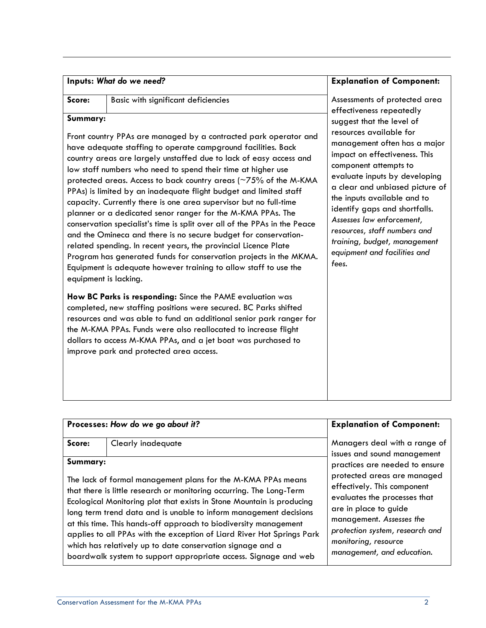| Inputs: What do we need? |  |  |  |  |
|--------------------------|--|--|--|--|
|--------------------------|--|--|--|--|

| ore<br>ω. |  |
|-----------|--|
|           |  |
|           |  |

#### **Summary:**

Front country PPAs are managed by a contracted park operator and have adequate staffing to operate campground facilities. Back country areas are largely unstaffed due to lack of easy access and low staff numbers who need to spend their time at higher use protected areas. Access to back country areas (~75% of the M-KMA PPAs) is limited by an inadequate flight budget and limited staff capacity. Currently there is one area supervisor but no full-time planner or a dedicated senor ranger for the M-KMA PPAs. The conservation specialist's time is split over all of the PPAs in the Peace and the Omineca and there is no secure budget for conservationrelated spending. In recent years, the provincial Licence Plate Program has generated funds for conservation projects in the MKMA. Equipment is adequate however training to allow staff to use the equipment is lacking.

**Score:** Basic with significant deficiencies

**How BC Parks is responding:** Since the PAME evaluation was completed, new staffing positions were secured. BC Parks shifted resources and was able to fund an additional senior park ranger for the M-KMA PPAs. Funds were also reallocated to increase flight dollars to access M-KMA PPAs, and a jet boat was purchased to improve park and protected area access.

#### **Explanation of Component:**

Assessments of protected area effectiveness repeatedly suggest that the level of resources available for management often has a major impact on effectiveness. This component attempts to evaluate inputs by developing a clear and unbiased picture of the inputs available and to identify gaps and shortfalls. *Assesses law enforcement, resources, staff numbers and training, budget, management equipment and facilities and fees.*

|          | Processes: How do we go about it?                                                                                                                                                                                                                                                                                                                                                                                                | <b>Explanation of Component:</b>                                                                                                                                                                                                             |  |  |
|----------|----------------------------------------------------------------------------------------------------------------------------------------------------------------------------------------------------------------------------------------------------------------------------------------------------------------------------------------------------------------------------------------------------------------------------------|----------------------------------------------------------------------------------------------------------------------------------------------------------------------------------------------------------------------------------------------|--|--|
| Score:   | Clearly inadequate                                                                                                                                                                                                                                                                                                                                                                                                               | Managers deal with a range of<br>issues and sound management                                                                                                                                                                                 |  |  |
| Summary: | The lack of formal management plans for the M-KMA PPAs means<br>that there is little research or monitoring occurring. The Long-Term<br>Ecological Monitoring plot that exists in Stone Mountain is producing<br>long term trend data and is unable to inform management decisions<br>at this time. This hands-off approach to biodiversity management<br>applies to all PPAs with the exception of Liard River Hot Springs Park | practices are needed to ensure<br>protected areas are managed<br>effectively. This component<br>evaluates the processes that<br>are in place to guide<br>management. Assesses the<br>protection system, research and<br>monitoring, resource |  |  |
|          | which has relatively up to date conservation signage and a<br>boardwalk system to support appropriate access. Signage and web                                                                                                                                                                                                                                                                                                    | management, and education.                                                                                                                                                                                                                   |  |  |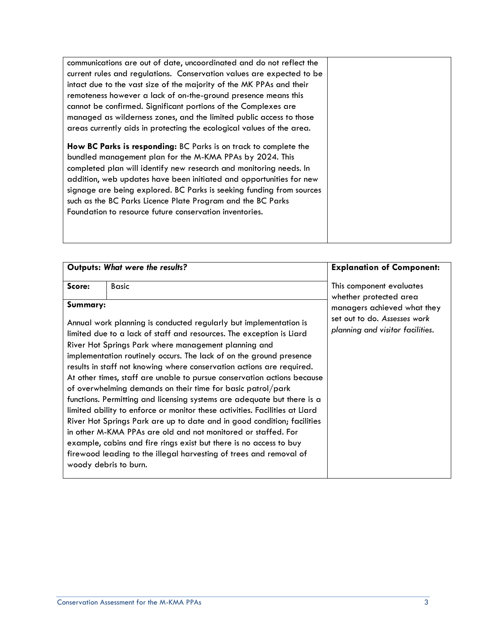| communications are out of date, uncoordinated and do not reflect the                                                                                                                                                                                                                                                                                                                                                                                                        |  |
|-----------------------------------------------------------------------------------------------------------------------------------------------------------------------------------------------------------------------------------------------------------------------------------------------------------------------------------------------------------------------------------------------------------------------------------------------------------------------------|--|
| current rules and regulations. Conservation values are expected to be                                                                                                                                                                                                                                                                                                                                                                                                       |  |
| intact due to the vast size of the majority of the MK PPAs and their                                                                                                                                                                                                                                                                                                                                                                                                        |  |
| remoteness however a lack of on-the-ground presence means this                                                                                                                                                                                                                                                                                                                                                                                                              |  |
| cannot be confirmed. Significant portions of the Complexes are                                                                                                                                                                                                                                                                                                                                                                                                              |  |
| managed as wilderness zones, and the limited public access to those                                                                                                                                                                                                                                                                                                                                                                                                         |  |
| areas currently aids in protecting the ecological values of the area.                                                                                                                                                                                                                                                                                                                                                                                                       |  |
| How BC Parks is responding: BC Parks is on track to complete the<br>bundled management plan for the M-KMA PPAs by 2024. This<br>completed plan will identify new research and monitoring needs. In<br>addition, web updates have been initiated and opportunities for new<br>signage are being explored. BC Parks is seeking funding from sources<br>such as the BC Parks Licence Plate Program and the BC Parks<br>Foundation to resource future conservation inventories. |  |

|          | Outputs: What were the results?                                                                                                                                                                                                                                                                                                                                                                                                                                                                                                                                                                                                                                                                                                                                                                                                                                                                                                                                        | <b>Explanation of Component:</b>                                                                                          |
|----------|------------------------------------------------------------------------------------------------------------------------------------------------------------------------------------------------------------------------------------------------------------------------------------------------------------------------------------------------------------------------------------------------------------------------------------------------------------------------------------------------------------------------------------------------------------------------------------------------------------------------------------------------------------------------------------------------------------------------------------------------------------------------------------------------------------------------------------------------------------------------------------------------------------------------------------------------------------------------|---------------------------------------------------------------------------------------------------------------------------|
| Score:   | <b>Basic</b>                                                                                                                                                                                                                                                                                                                                                                                                                                                                                                                                                                                                                                                                                                                                                                                                                                                                                                                                                           | This component evaluates                                                                                                  |
| Summary: | Annual work planning is conducted regularly but implementation is<br>limited due to a lack of staff and resources. The exception is Liard<br>River Hot Springs Park where management planning and<br>implementation routinely occurs. The lack of on the ground presence<br>results in staff not knowing where conservation actions are required.<br>At other times, staff are unable to pursue conservation actions because<br>of overwhelming demands on their time for basic patrol/park<br>functions. Permitting and licensing systems are adequate but there is a<br>limited ability to enforce or monitor these activities. Facilities at Liard<br>River Hot Springs Park are up to date and in good condition; facilities<br>in other M-KMA PPAs are old and not monitored or staffed. For<br>example, cabins and fire rings exist but there is no access to buy<br>firewood leading to the illegal harvesting of trees and removal of<br>woody debris to burn. | whether protected area<br>managers achieved what they<br>set out to do. Assesses work<br>planning and visitor facilities. |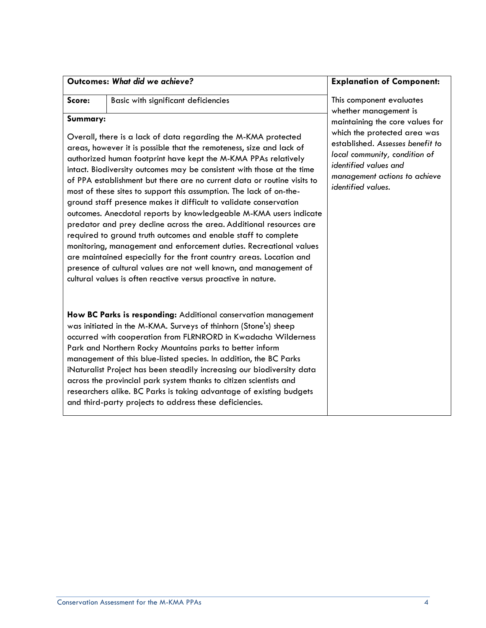| Outcomes: What did we achieve? |  |  |  |
|--------------------------------|--|--|--|
|--------------------------------|--|--|--|

| core: |  |
|-------|--|
|       |  |
|       |  |

**Score:** Basic with significant deficiencies

#### **Summary:**

Overall, there is a lack of data regarding the M-KMA protected areas, however it is possible that the remoteness, size and lack of authorized human footprint have kept the M-KMA PPAs relatively intact. Biodiversity outcomes may be consistent with those at the time of PPA establishment but there are no current data or routine visits to most of these sites to support this assumption. The lack of on-theground staff presence makes it difficult to validate conservation outcomes. Anecdotal reports by knowledgeable M-KMA users indicate predator and prey decline across the area. Additional resources are required to ground truth outcomes and enable staff to complete monitoring, management and enforcement duties. Recreational values are maintained especially for the front country areas. Location and presence of cultural values are not well known, and management of cultural values is often reactive versus proactive in nature.

**How BC Parks is responding:** Additional conservation management was initiated in the M-KMA. Surveys of thinhorn (Stone's) sheep occurred with cooperation from FLRNRORD in Kwadacha Wilderness Park and Northern Rocky Mountains parks to better inform management of this blue-listed species. In addition, the [BC Parks](https://www.inaturalist.org/projects/bc-parks)  [iNaturalist Project](https://www.inaturalist.org/projects/bc-parks) has been steadily increasing our biodiversity data across the provincial park system thanks to citizen scientists and researchers alike. BC Parks is taking advantage of existing budgets and third-party projects to address these deficiencies.

#### **Explanation of Component:**

This component evaluates whether management is maintaining the core values for which the protected area was established. *Assesses benefit to local community, condition of identified values and management actions to achieve identified values.*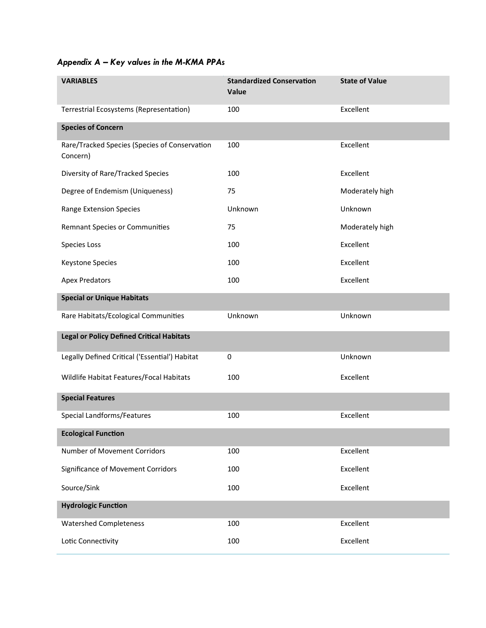# *Appendix A – Key values in the M-KMA PPAs*

| <b>VARIABLES</b>                                          | <b>Standardized Conservation</b><br>Value | <b>State of Value</b> |
|-----------------------------------------------------------|-------------------------------------------|-----------------------|
| Terrestrial Ecosystems (Representation)                   | 100                                       | Excellent             |
| <b>Species of Concern</b>                                 |                                           |                       |
| Rare/Tracked Species (Species of Conservation<br>Concern) | 100                                       | Excellent             |
| Diversity of Rare/Tracked Species                         | 100                                       | Excellent             |
| Degree of Endemism (Uniqueness)                           | 75                                        | Moderately high       |
| Range Extension Species                                   | Unknown                                   | Unknown               |
| <b>Remnant Species or Communities</b>                     | 75                                        | Moderately high       |
| Species Loss                                              | 100                                       | Excellent             |
| Keystone Species                                          | 100                                       | Excellent             |
| <b>Apex Predators</b>                                     | 100                                       | Excellent             |
| <b>Special or Unique Habitats</b>                         |                                           |                       |
| Rare Habitats/Ecological Communities                      | Unknown                                   | Unknown               |
| <b>Legal or Policy Defined Critical Habitats</b>          |                                           |                       |
| Legally Defined Critical ('Essential') Habitat            | 0                                         | Unknown               |
| Wildlife Habitat Features/Focal Habitats                  | 100                                       | Excellent             |
| <b>Special Features</b>                                   |                                           |                       |
| Special Landforms/Features                                | 100                                       | Excellent             |
| <b>Ecological Function</b>                                |                                           |                       |
| Number of Movement Corridors                              | 100                                       | Excellent             |
| Significance of Movement Corridors                        | 100                                       | Excellent             |
| Source/Sink                                               | 100                                       | Excellent             |
| <b>Hydrologic Function</b>                                |                                           |                       |
| <b>Watershed Completeness</b>                             | 100                                       | Excellent             |
| Lotic Connectivity                                        | 100                                       | Excellent             |